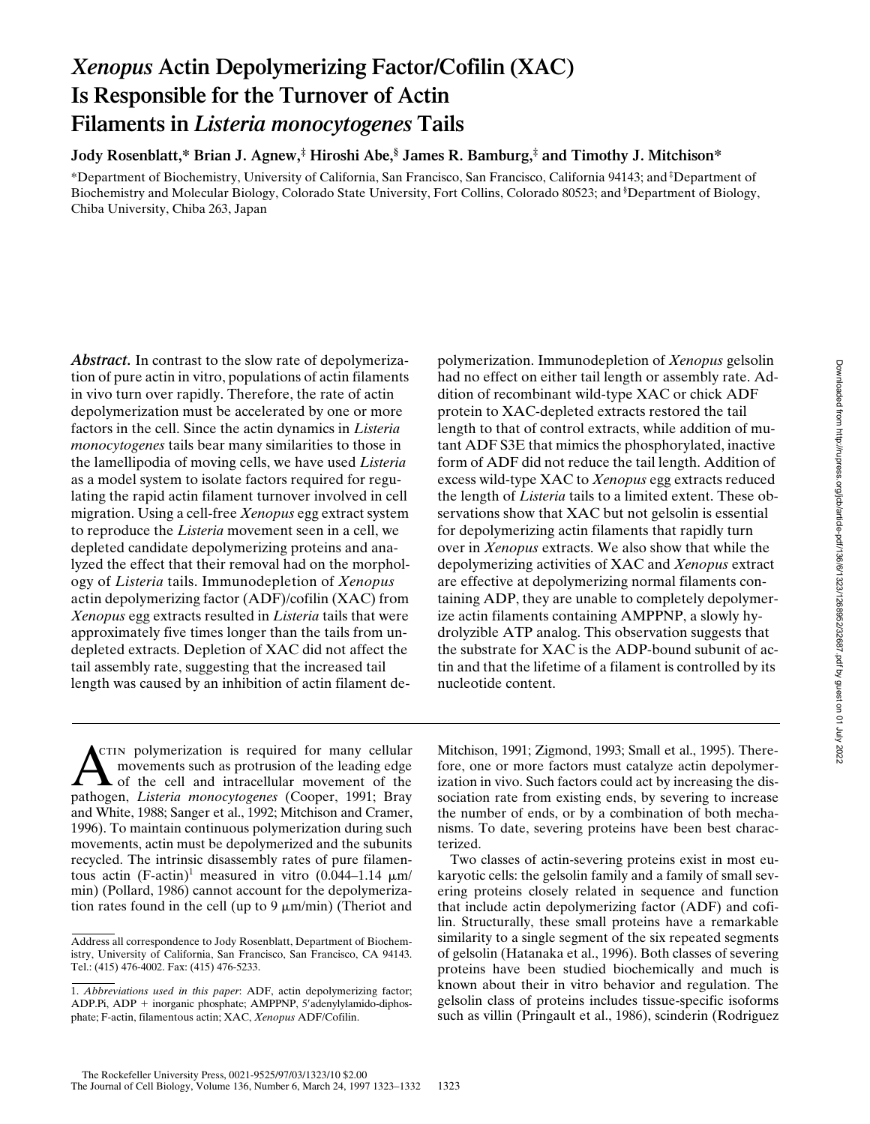# *Xenopus* **Actin Depolymerizing Factor/Cofilin (XAC) Is Responsible for the Turnover of Actin Filaments in** *Listeria monocytogenes* **Tails**

**Jody Rosenblatt,\* Brian J. Agnew,‡ Hiroshi Abe,§ James R. Bamburg,‡ and Timothy J. Mitchison\***

\*Department of Biochemistry, University of California, San Francisco, San Francisco, California 94143; and ‡ Department of Biochemistry and Molecular Biology, Colorado State University, Fort Collins, Colorado 80523; and <sup>§</sup>Department of Biology, Chiba University, Chiba 263, Japan

*Abstract.* In contrast to the slow rate of depolymerization of pure actin in vitro, populations of actin filaments in vivo turn over rapidly. Therefore, the rate of actin depolymerization must be accelerated by one or more factors in the cell. Since the actin dynamics in *Listeria monocytogenes* tails bear many similarities to those in the lamellipodia of moving cells, we have used *Listeria* as a model system to isolate factors required for regulating the rapid actin filament turnover involved in cell migration. Using a cell-free *Xenopus* egg extract system to reproduce the *Listeria* movement seen in a cell, we depleted candidate depolymerizing proteins and analyzed the effect that their removal had on the morphology of *Listeria* tails. Immunodepletion of *Xenopus* actin depolymerizing factor (ADF)/cofilin (XAC) from *Xenopus* egg extracts resulted in *Listeria* tails that were approximately five times longer than the tails from undepleted extracts. Depletion of XAC did not affect the tail assembly rate, suggesting that the increased tail length was caused by an inhibition of actin filament depolymerization. Immunodepletion of *Xenopus* gelsolin had no effect on either tail length or assembly rate. Addition of recombinant wild-type XAC or chick ADF protein to XAC-depleted extracts restored the tail length to that of control extracts, while addition of mutant ADF S3E that mimics the phosphorylated, inactive form of ADF did not reduce the tail length. Addition of excess wild-type XAC to *Xenopus* egg extracts reduced the length of *Listeria* tails to a limited extent. These observations show that XAC but not gelsolin is essential for depolymerizing actin filaments that rapidly turn over in *Xenopus* extracts. We also show that while the depolymerizing activities of XAC and *Xenopus* extract are effective at depolymerizing normal filaments containing ADP, they are unable to completely depolymerize actin filaments containing AMPPNP, a slowly hydrolyzible ATP analog. This observation suggests that the substrate for XAC is the ADP-bound subunit of actin and that the lifetime of a filament is controlled by its nucleotide content.

**A** crist polymerization is required for many cellular movements such as protrusion of the leading edge pathogen, *Listeria monocytogenes* (Cooper, 1991; Bray ctin polymerization is required for many cellular movements such as protrusion of the leading edge of the cell and intracellular movement of the and White, 1988; Sanger et al., 1992; Mitchison and Cramer, 1996). To maintain continuous polymerization during such movements, actin must be depolymerized and the subunits recycled. The intrinsic disassembly rates of pure filamentous actin  $(F\text{-actin})^1$  measured in vitro  $(0.044-1.14 \text{ }\mu\text{m})$ min) (Pollard, 1986) cannot account for the depolymerization rates found in the cell (up to  $9 \mu m/min$ ) (Theriot and

Mitchison, 1991; Zigmond, 1993; Small et al., 1995). Therefore, one or more factors must catalyze actin depolymerization in vivo. Such factors could act by increasing the dissociation rate from existing ends, by severing to increase the number of ends, or by a combination of both mechanisms. To date, severing proteins have been best characterized.

Two classes of actin-severing proteins exist in most eukaryotic cells: the gelsolin family and a family of small severing proteins closely related in sequence and function that include actin depolymerizing factor (ADF) and cofilin. Structurally, these small proteins have a remarkable similarity to a single segment of the six repeated segments of gelsolin (Hatanaka et al., 1996). Both classes of severing proteins have been studied biochemically and much is known about their in vitro behavior and regulation. The gelsolin class of proteins includes tissue-specific isoforms such as villin (Pringault et al., 1986), scinderin (Rodriguez

Address all correspondence to Jody Rosenblatt, Department of Biochemistry, University of California, San Francisco, San Francisco, CA 94143. Tel.: (415) 476-4002. Fax: (415) 476-5233.

<sup>1.</sup> *Abbreviations used in this paper*: ADF, actin depolymerizing factor; ADP.Pi, ADP + inorganic phosphate; AMPPNP, 5'adenylylamido-diphosphate; F-actin, filamentous actin; XAC, *Xenopus* ADF/Cofilin.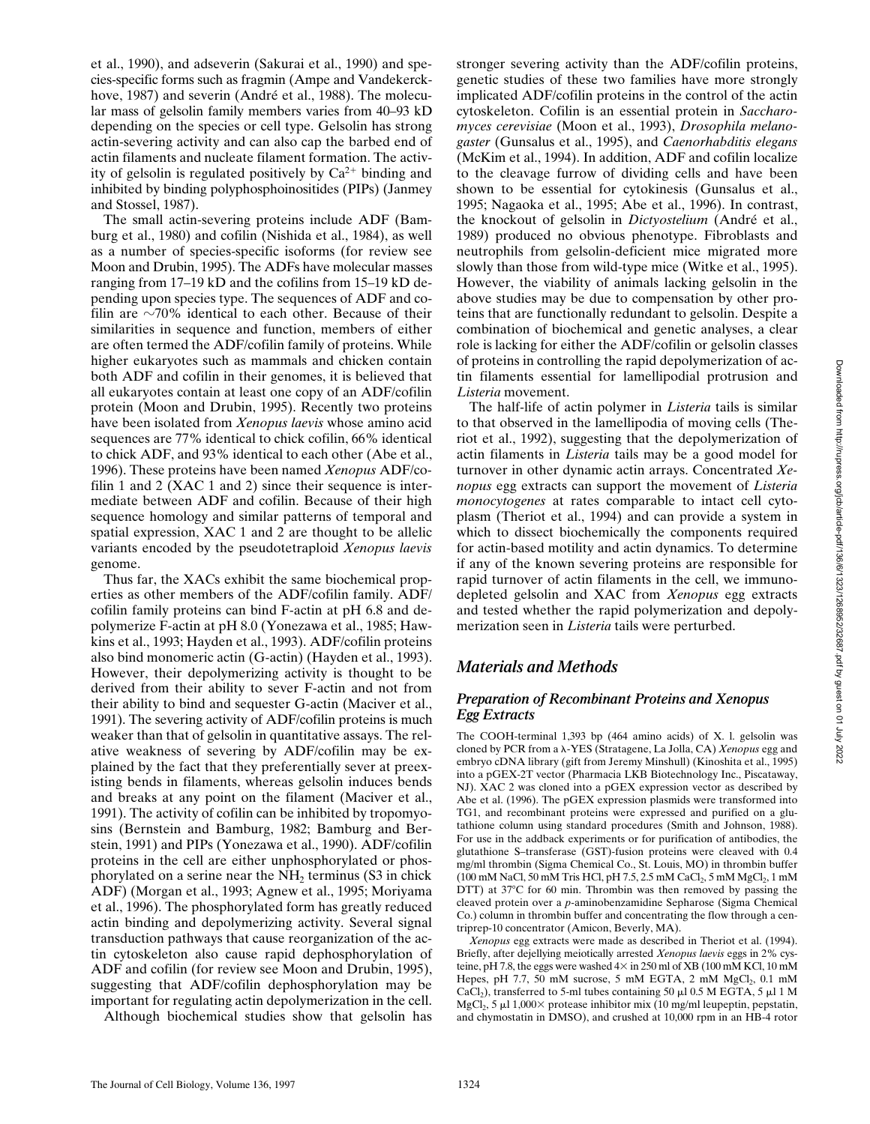Downloaded from http://rupress.org/jcb/article-pdf/136/6/1323/1268952/32687.pdf by guest on 01 July 2022 Downloaded from http://rupress.org/jcb/article-pdf/136/6/1323/1268952/32687.pdf by guest on 01 July 2022

et al., 1990), and adseverin (Sakurai et al., 1990) and species-specific forms such as fragmin (Ampe and Vandekerckhove, 1987) and severin (André et al., 1988). The molecular mass of gelsolin family members varies from 40–93 kD depending on the species or cell type. Gelsolin has strong actin-severing activity and can also cap the barbed end of actin filaments and nucleate filament formation. The activity of gelsolin is regulated positively by  $Ca^{2+}$  binding and inhibited by binding polyphosphoinositides (PIPs) (Janmey and Stossel, 1987).

The small actin-severing proteins include ADF (Bamburg et al., 1980) and cofilin (Nishida et al., 1984), as well as a number of species-specific isoforms (for review see Moon and Drubin, 1995). The ADFs have molecular masses ranging from 17–19 kD and the cofilins from 15–19 kD depending upon species type. The sequences of ADF and cofilin are  $\sim$ 70% identical to each other. Because of their similarities in sequence and function, members of either are often termed the ADF/cofilin family of proteins. While higher eukaryotes such as mammals and chicken contain both ADF and cofilin in their genomes, it is believed that all eukaryotes contain at least one copy of an ADF/cofilin protein (Moon and Drubin, 1995). Recently two proteins have been isolated from *Xenopus laevis* whose amino acid sequences are 77% identical to chick cofilin, 66% identical to chick ADF, and 93% identical to each other (Abe et al., 1996). These proteins have been named *Xenopus* ADF/cofilin 1 and 2 (XAC 1 and 2) since their sequence is intermediate between ADF and cofilin. Because of their high sequence homology and similar patterns of temporal and spatial expression, XAC 1 and 2 are thought to be allelic variants encoded by the pseudotetraploid *Xenopus laevis* genome.

Thus far, the XACs exhibit the same biochemical properties as other members of the ADF/cofilin family. ADF/ cofilin family proteins can bind F-actin at pH 6.8 and depolymerize F-actin at pH 8.0 (Yonezawa et al., 1985; Hawkins et al., 1993; Hayden et al., 1993). ADF/cofilin proteins also bind monomeric actin (G-actin) (Hayden et al., 1993). However, their depolymerizing activity is thought to be derived from their ability to sever F-actin and not from their ability to bind and sequester G-actin (Maciver et al., 1991). The severing activity of ADF/cofilin proteins is much weaker than that of gelsolin in quantitative assays. The relative weakness of severing by ADF/cofilin may be explained by the fact that they preferentially sever at preexisting bends in filaments, whereas gelsolin induces bends and breaks at any point on the filament (Maciver et al., 1991). The activity of cofilin can be inhibited by tropomyosins (Bernstein and Bamburg, 1982; Bamburg and Berstein, 1991) and PIPs (Yonezawa et al., 1990). ADF/cofilin proteins in the cell are either unphosphorylated or phosphorylated on a serine near the  $NH<sub>2</sub>$  terminus (S3 in chick ADF) (Morgan et al., 1993; Agnew et al., 1995; Moriyama et al., 1996). The phosphorylated form has greatly reduced actin binding and depolymerizing activity. Several signal transduction pathways that cause reorganization of the actin cytoskeleton also cause rapid dephosphorylation of ADF and cofilin (for review see Moon and Drubin, 1995), suggesting that ADF/cofilin dephosphorylation may be important for regulating actin depolymerization in the cell.

Although biochemical studies show that gelsolin has

stronger severing activity than the ADF/cofilin proteins, genetic studies of these two families have more strongly implicated ADF/cofilin proteins in the control of the actin cytoskeleton. Cofilin is an essential protein in *Saccharomyces cerevisiae* (Moon et al., 1993), *Drosophila melanogaster* (Gunsalus et al., 1995), and *Caenorhabditis elegans* (McKim et al., 1994). In addition, ADF and cofilin localize to the cleavage furrow of dividing cells and have been shown to be essential for cytokinesis (Gunsalus et al., 1995; Nagaoka et al., 1995; Abe et al., 1996). In contrast, the knockout of gelsolin in *Dictyostelium* (André et al., 1989) produced no obvious phenotype. Fibroblasts and neutrophils from gelsolin-deficient mice migrated more slowly than those from wild-type mice (Witke et al., 1995). However, the viability of animals lacking gelsolin in the above studies may be due to compensation by other proteins that are functionally redundant to gelsolin. Despite a combination of biochemical and genetic analyses, a clear role is lacking for either the ADF/cofilin or gelsolin classes of proteins in controlling the rapid depolymerization of actin filaments essential for lamellipodial protrusion and *Listeria* movement.

The half-life of actin polymer in *Listeria* tails is similar to that observed in the lamellipodia of moving cells (Theriot et al., 1992), suggesting that the depolymerization of actin filaments in *Listeria* tails may be a good model for turnover in other dynamic actin arrays. Concentrated *Xenopus* egg extracts can support the movement of *Listeria monocytogenes* at rates comparable to intact cell cytoplasm (Theriot et al., 1994) and can provide a system in which to dissect biochemically the components required for actin-based motility and actin dynamics. To determine if any of the known severing proteins are responsible for rapid turnover of actin filaments in the cell, we immunodepleted gelsolin and XAC from *Xenopus* egg extracts and tested whether the rapid polymerization and depolymerization seen in *Listeria* tails were perturbed.

### *Materials and Methods*

### *Preparation of Recombinant Proteins and Xenopus Egg Extracts*

The COOH-terminal 1,393 bp (464 amino acids) of X. l. gelsolin was cloned by PCR from a l-YES (Stratagene, La Jolla, CA) *Xenopus* egg and embryo cDNA library (gift from Jeremy Minshull) (Kinoshita et al., 1995) into a pGEX-2T vector (Pharmacia LKB Biotechnology Inc., Piscataway, NJ). XAC 2 was cloned into a pGEX expression vector as described by Abe et al. (1996). The pGEX expression plasmids were transformed into TG1, and recombinant proteins were expressed and purified on a glutathione column using standard procedures (Smith and Johnson, 1988). For use in the addback experiments or for purification of antibodies, the glutathione S–transferase (GST)-fusion proteins were cleaved with 0.4 mg/ml thrombin (Sigma Chemical Co., St. Louis, MO) in thrombin buffer  $(100 \text{ mM NaCl}, 50 \text{ mM Tris HCl}, pH 7.5, 2.5 \text{ mM CaCl}_2, 5 \text{ mM MgCl}_2, 1 \text{ mM}$ DTT) at  $37^{\circ}$ C for 60 min. Thrombin was then removed by passing the cleaved protein over a *p*-aminobenzamidine Sepharose (Sigma Chemical Co.) column in thrombin buffer and concentrating the flow through a centriprep-10 concentrator (Amicon, Beverly, MA).

*Xenopus* egg extracts were made as described in Theriot et al. (1994). Briefly, after dejellying meiotically arrested *Xenopus laevis* eggs in 2% cysteine, pH 7.8, the eggs were washed  $4\times$  in 250 ml of XB (100 mM KCl, 10 mM Hepes, pH 7.7, 50 mM sucrose, 5 mM EGTA, 2 mM  $MgCl<sub>2</sub>$ , 0.1 mM CaCl<sub>2</sub>), transferred to 5-ml tubes containing 50  $\mu$ l 0.5 M EGTA, 5  $\mu$ l 1 M MgCl<sub>2</sub>, 5  $\mu$ l 1,000 $\times$  protease inhibitor mix (10 mg/ml leupeptin, pepstatin, and chymostatin in DMSO), and crushed at 10,000 rpm in an HB-4 rotor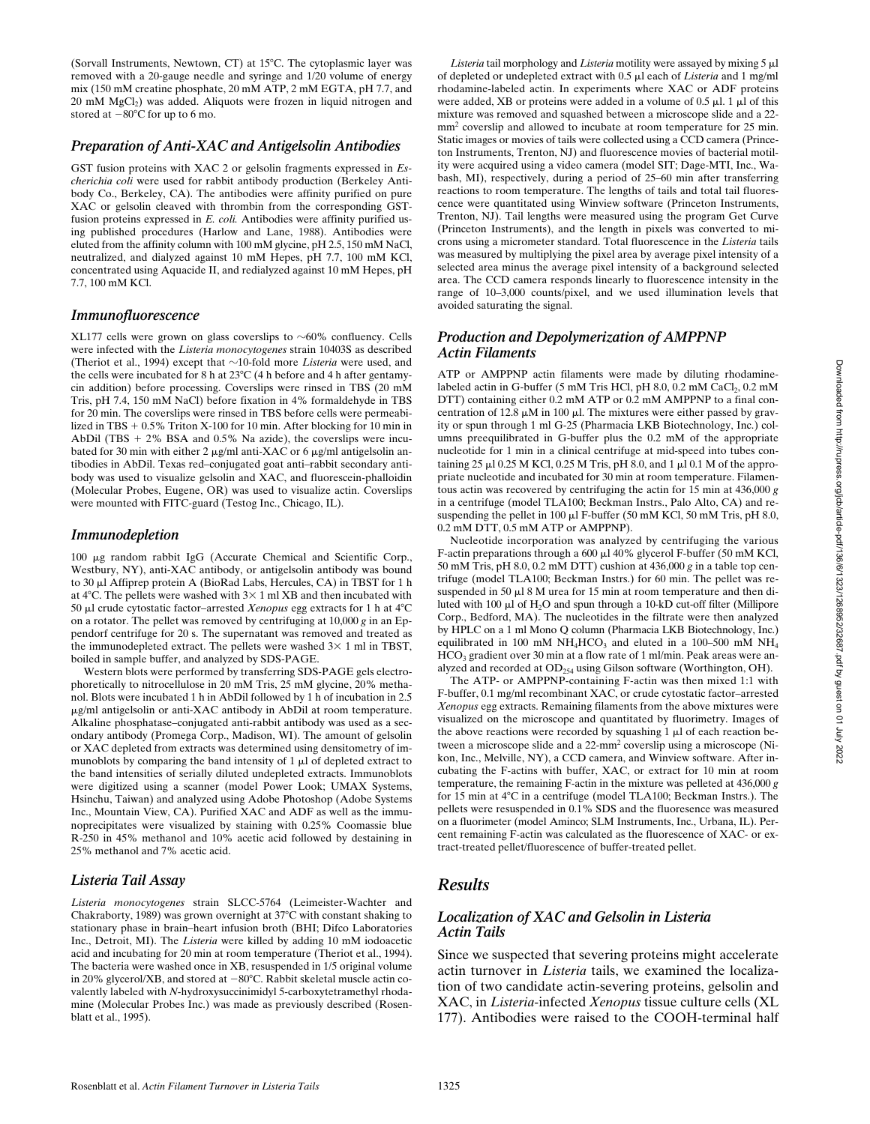(Sorvall Instruments, Newtown, CT) at 15°C. The cytoplasmic layer was removed with a 20-gauge needle and syringe and 1/20 volume of energy mix (150 mM creatine phosphate, 20 mM ATP, 2 mM EGTA, pH 7.7, and  $20 \text{ mM } MgCl<sub>2</sub>$ ) was added. Aliquots were frozen in liquid nitrogen and stored at  $-80^{\circ}$ C for up to 6 mo.

### *Preparation of Anti-XAC and Antigelsolin Antibodies*

GST fusion proteins with XAC 2 or gelsolin fragments expressed in *Escherichia coli* were used for rabbit antibody production (Berkeley Antibody Co., Berkeley, CA). The antibodies were affinity purified on pure XAC or gelsolin cleaved with thrombin from the corresponding GSTfusion proteins expressed in *E. coli.* Antibodies were affinity purified using published procedures (Harlow and Lane, 1988). Antibodies were eluted from the affinity column with 100 mM glycine, pH 2.5, 150 mM NaCl, neutralized, and dialyzed against 10 mM Hepes, pH 7.7, 100 mM KCl, concentrated using Aquacide II, and redialyzed against 10 mM Hepes, pH 7.7, 100 mM KCl.

### *Immunofluorescence*

XL177 cells were grown on glass coverslips to  $~60\%$  confluency. Cells were infected with the *Listeria monocytogenes* strain 10403S as described (Theriot et al., 1994) except that  $\sim$ 10-fold more *Listeria* were used, and the cells were incubated for 8 h at  $23^{\circ}$ C (4 h before and 4 h after gentamycin addition) before processing. Coverslips were rinsed in TBS (20 mM Tris, pH 7.4, 150 mM NaCl) before fixation in 4% formaldehyde in TBS for 20 min. The coverslips were rinsed in TBS before cells were permeabilized in TBS  $+ 0.5\%$  Triton X-100 for 10 min. After blocking for 10 min in AbDil (TBS  $+ 2\%$  BSA and 0.5% Na azide), the coverslips were incubated for 30 min with either 2  $\mu$ g/ml anti-XAC or 6  $\mu$ g/ml antigelsolin antibodies in AbDil. Texas red–conjugated goat anti–rabbit secondary antibody was used to visualize gelsolin and XAC, and fluorescein-phalloidin (Molecular Probes, Eugene, OR) was used to visualize actin. Coverslips were mounted with FITC-guard (Testog Inc., Chicago, IL).

### *Immunodepletion*

100 mg random rabbit IgG (Accurate Chemical and Scientific Corp., Westbury, NY), anti-XAC antibody, or antigelsolin antibody was bound to 30 μl Affiprep protein A (BioRad Labs, Hercules, CA) in TBST for 1 h at 4 $\degree$ C. The pellets were washed with  $3 \times 1$  ml XB and then incubated with 50  $\mu$ l crude cytostatic factor–arrested *Xenopus* egg extracts for 1 h at 4°C on a rotator. The pellet was removed by centrifuging at 10,000 *g* in an Eppendorf centrifuge for 20 s. The supernatant was removed and treated as the immunodepleted extract. The pellets were washed  $3 \times 1$  ml in TBST, boiled in sample buffer, and analyzed by SDS-PAGE.

Western blots were performed by transferring SDS-PAGE gels electrophoretically to nitrocellulose in 20 mM Tris, 25 mM glycine, 20% methanol. Blots were incubated 1 h in AbDil followed by 1 h of incubation in 2.5 mg/ml antigelsolin or anti-XAC antibody in AbDil at room temperature. Alkaline phosphatase–conjugated anti-rabbit antibody was used as a secondary antibody (Promega Corp., Madison, WI). The amount of gelsolin or XAC depleted from extracts was determined using densitometry of immunoblots by comparing the band intensity of  $1 \mu l$  of depleted extract to the band intensities of serially diluted undepleted extracts. Immunoblots were digitized using a scanner (model Power Look; UMAX Systems, Hsinchu, Taiwan) and analyzed using Adobe Photoshop (Adobe Systems Inc., Mountain View, CA). Purified XAC and ADF as well as the immunoprecipitates were visualized by staining with 0.25% Coomassie blue R-250 in 45% methanol and 10% acetic acid followed by destaining in 25% methanol and 7% acetic acid.

### *Listeria Tail Assay*

*Listeria monocytogenes* strain SLCC-5764 (Leimeister-Wachter and Chakraborty, 1989) was grown overnight at  $37^{\circ}$ C with constant shaking to stationary phase in brain–heart infusion broth (BHI; Difco Laboratories Inc., Detroit, MI). The *Listeria* were killed by adding 10 mM iodoacetic acid and incubating for 20 min at room temperature (Theriot et al., 1994). The bacteria were washed once in XB, resuspended in 1/5 original volume in 20% glycerol/XB, and stored at  $-80^{\circ}$ C. Rabbit skeletal muscle actin covalently labeled with *N*-hydroxysuccinimidyl 5-carboxytetramethyl rhodamine (Molecular Probes Inc.) was made as previously described (Rosenblatt et al., 1995).

Downloaded from http://rupress.org/jcb/article-pdf/136/8/12/268952/32687.pdf by guest on 01 July 2022 Downloaded from http://rupress.org/jcb/article-pdf/136/6/1323/1268952/32687.pdf by guest on 01 July 2022

Listeria tail morphology and Listeria motility were assayed by mixing 5  $\mu$ l of depleted or undepleted extract with 0.5 ml each of *Listeria* and 1 mg/ml rhodamine-labeled actin. In experiments where XAC or ADF proteins were added, XB or proteins were added in a volume of 0.5  $\mu$ l. 1  $\mu$ l of this mixture was removed and squashed between a microscope slide and a 22 mm2 coverslip and allowed to incubate at room temperature for 25 min. Static images or movies of tails were collected using a CCD camera (Princeton Instruments, Trenton, NJ) and fluorescence movies of bacterial motility were acquired using a video camera (model SIT; Dage-MTI, Inc., Wabash, MI), respectively, during a period of 25–60 min after transferring reactions to room temperature. The lengths of tails and total tail fluorescence were quantitated using Winview software (Princeton Instruments, Trenton, NJ). Tail lengths were measured using the program Get Curve (Princeton Instruments), and the length in pixels was converted to microns using a micrometer standard. Total fluorescence in the *Listeria* tails was measured by multiplying the pixel area by average pixel intensity of a selected area minus the average pixel intensity of a background selected area. The CCD camera responds linearly to fluorescence intensity in the range of 10–3,000 counts/pixel, and we used illumination levels that avoided saturating the signal.

### *Production and Depolymerization of AMPPNP Actin Filaments*

ATP or AMPPNP actin filaments were made by diluting rhodaminelabeled actin in G-buffer  $(5 \text{ mM Tris HCl, pH } 8.0, 0.2 \text{ mM CaCl}_2, 0.2 \text{ mM}$ DTT) containing either 0.2 mM ATP or 0.2 mM AMPPNP to a final concentration of 12.8  $\mu$ M in 100  $\mu$ l. The mixtures were either passed by gravity or spun through 1 ml G-25 (Pharmacia LKB Biotechnology, Inc.) columns preequilibrated in G-buffer plus the 0.2 mM of the appropriate nucleotide for 1 min in a clinical centrifuge at mid-speed into tubes containing 25  $\mu$ l 0.25 M KCl, 0.25 M Tris, pH 8.0, and 1  $\mu$ l 0.1 M of the appropriate nucleotide and incubated for 30 min at room temperature. Filamentous actin was recovered by centrifuging the actin for 15 min at 436,000 *g* in a centrifuge (model TLA100; Beckman Instrs., Palo Alto, CA) and resuspending the pellet in 100 µl F-buffer (50 mM KCl, 50 mM Tris, pH 8.0, 0.2 mM DTT, 0.5 mM ATP or AMPPNP).

Nucleotide incorporation was analyzed by centrifuging the various F-actin preparations through a 600  $\mu$ l 40% glycerol F-buffer (50 mM KCl, 50 mM Tris, pH 8.0, 0.2 mM DTT) cushion at 436,000 *g* in a table top centrifuge (model TLA100; Beckman Instrs.) for 60 min. The pellet was resuspended in 50  $\mu$ l 8 M urea for 15 min at room temperature and then diluted with 100  $\mu$ l of H<sub>2</sub>O and spun through a 10-kD cut-off filter (Millipore Corp., Bedford, MA). The nucleotides in the filtrate were then analyzed by HPLC on a 1 ml Mono Q column (Pharmacia LKB Biotechnology, Inc.) equilibrated in 100 mM NH<sub>4</sub>HCO<sub>3</sub> and eluted in a 100–500 mM NH<sub>4</sub> HCO<sub>3</sub> gradient over 30 min at a flow rate of 1 ml/min. Peak areas were analyzed and recorded at OD<sub>254</sub> using Gilson software (Worthington, OH).

The ATP- or AMPPNP-containing F-actin was then mixed 1:1 with F-buffer, 0.1 mg/ml recombinant XAC, or crude cytostatic factor–arrested *Xenopus* egg extracts. Remaining filaments from the above mixtures were visualized on the microscope and quantitated by fluorimetry. Images of the above reactions were recorded by squashing  $1 \mu$ l of each reaction between a microscope slide and a 22-mm<sup>2</sup> coverslip using a microscope (Nikon, Inc., Melville, NY), a CCD camera, and Winview software. After incubating the F-actins with buffer, XAC, or extract for 10 min at room temperature, the remaining F-actin in the mixture was pelleted at 436,000 *g* for 15 min at 4°C in a centrifuge (model TLA100; Beckman Instrs.). The pellets were resuspended in 0.1% SDS and the fluoresence was measured on a fluorimeter (model Aminco; SLM Instruments, Inc., Urbana, IL). Percent remaining F-actin was calculated as the fluorescence of XAC- or extract-treated pellet/fluorescence of buffer-treated pellet.

## *Results*

### *Localization of XAC and Gelsolin in Listeria Actin Tails*

Since we suspected that severing proteins might accelerate actin turnover in *Listeria* tails, we examined the localization of two candidate actin-severing proteins, gelsolin and XAC, in *Listeria*-infected *Xenopus* tissue culture cells (XL 177). Antibodies were raised to the COOH-terminal half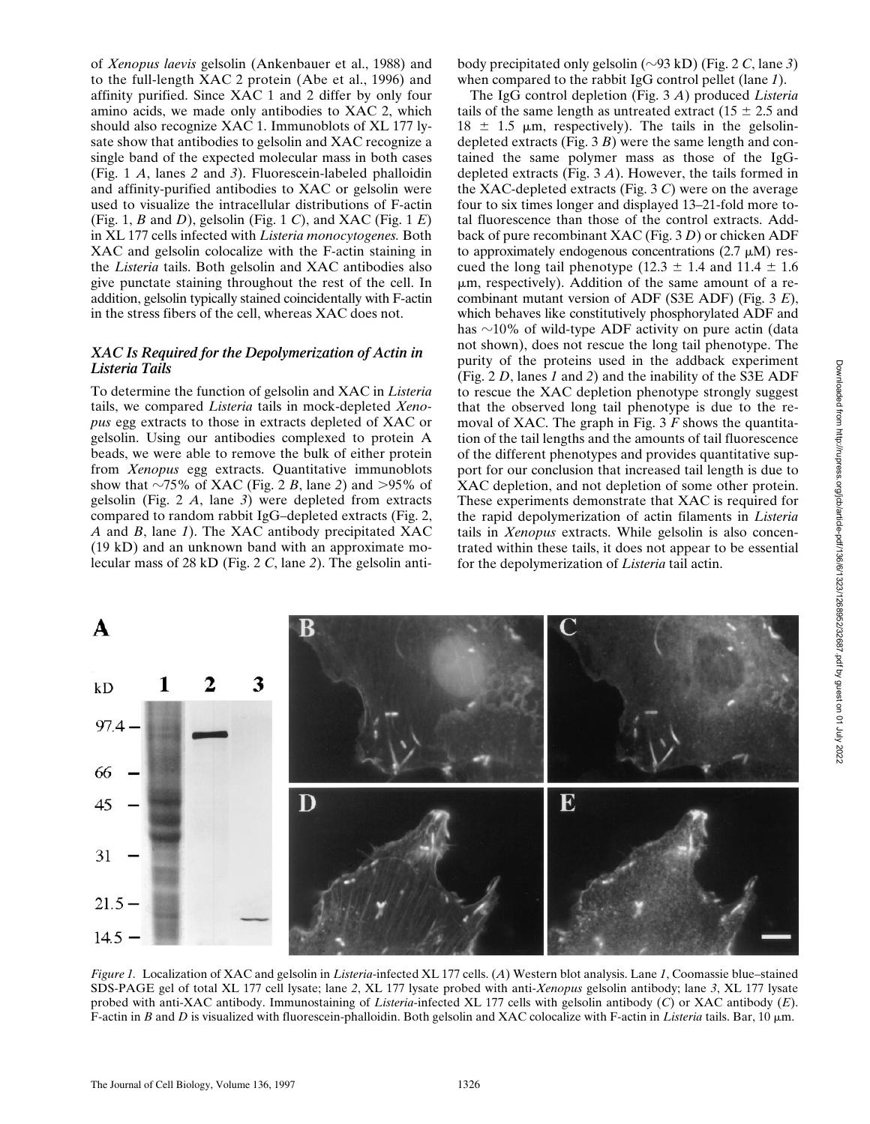of *Xenopus laevis* gelsolin (Ankenbauer et al., 1988) and to the full-length XAC 2 protein (Abe et al., 1996) and affinity purified. Since XAC 1 and 2 differ by only four amino acids, we made only antibodies to XAC 2, which should also recognize XAC 1. Immunoblots of XL 177 lysate show that antibodies to gelsolin and XAC recognize a single band of the expected molecular mass in both cases (Fig. 1 *A*, lanes *2* and *3*). Fluorescein-labeled phalloidin and affinity-purified antibodies to XAC or gelsolin were used to visualize the intracellular distributions of F-actin (Fig. 1, *B* and *D*), gelsolin (Fig. 1 *C*), and XAC (Fig. 1 *E*) in XL 177 cells infected with *Listeria monocytogenes.* Both XAC and gelsolin colocalize with the F-actin staining in the *Listeria* tails. Both gelsolin and XAC antibodies also give punctate staining throughout the rest of the cell. In addition, gelsolin typically stained coincidentally with F-actin in the stress fibers of the cell, whereas XAC does not.

### *XAC Is Required for the Depolymerization of Actin in Listeria Tails*

To determine the function of gelsolin and XAC in *Listeria* tails, we compared *Listeria* tails in mock-depleted *Xenopus* egg extracts to those in extracts depleted of XAC or gelsolin. Using our antibodies complexed to protein A beads, we were able to remove the bulk of either protein from *Xenopus* egg extracts. Quantitative immunoblots show that  $\sim$ 75% of XAC (Fig. 2 *B*, lane 2) and >95% of gelsolin (Fig. 2 *A*, lane *3*) were depleted from extracts compared to random rabbit IgG–depleted extracts (Fig. 2, *A* and *B*, lane *1*). The XAC antibody precipitated XAC (19 kD) and an unknown band with an approximate molecular mass of 28 kD (Fig. 2 *C*, lane *2*). The gelsolin antibody precipitated only gelsolin ( $\sim$ 93 kD) (Fig. 2 *C*, lane 3) when compared to the rabbit IgG control pellet (lane *1*).

The IgG control depletion (Fig. 3 *A*) produced *Listeria* tails of the same length as untreated extract ( $15 \pm 2.5$  and  $18 \pm 1.5$  µm, respectively). The tails in the gelsolindepleted extracts (Fig. 3 *B*) were the same length and contained the same polymer mass as those of the IgGdepleted extracts (Fig. 3 *A*). However, the tails formed in the XAC-depleted extracts (Fig. 3 *C*) were on the average four to six times longer and displayed 13–21-fold more total fluorescence than those of the control extracts. Addback of pure recombinant XAC (Fig. 3 *D*) or chicken ADF to approximately endogenous concentrations  $(2.7 \mu M)$  rescued the long tail phenotype (12.3  $\pm$  1.4 and 11.4  $\pm$  1.6  $\mu$ m, respectively). Addition of the same amount of a recombinant mutant version of ADF (S3E ADF) (Fig. 3 *E*), which behaves like constitutively phosphorylated ADF and has  $\sim$ 10% of wild-type ADF activity on pure actin (data not shown), does not rescue the long tail phenotype. The purity of the proteins used in the addback experiment (Fig. 2 *D*, lanes *1* and *2*) and the inability of the S3E ADF to rescue the XAC depletion phenotype strongly suggest that the observed long tail phenotype is due to the removal of XAC. The graph in Fig. 3 *F* shows the quantitation of the tail lengths and the amounts of tail fluorescence of the different phenotypes and provides quantitative support for our conclusion that increased tail length is due to XAC depletion, and not depletion of some other protein. These experiments demonstrate that XAC is required for the rapid depolymerization of actin filaments in *Listeria* tails in *Xenopus* extracts. While gelsolin is also concentrated within these tails, it does not appear to be essential for the depolymerization of *Listeria* tail actin.



*Figure 1.* Localization of XAC and gelsolin in *Listeria*-infected XL 177 cells. (*A*) Western blot analysis. Lane *1*, Coomassie blue–stained SDS-PAGE gel of total XL 177 cell lysate; lane *2*, XL 177 lysate probed with anti-*Xenopus* gelsolin antibody; lane *3*, XL 177 lysate probed with anti-XAC antibody. Immunostaining of *Listeria*-infected XL 177 cells with gelsolin antibody (*C*) or XAC antibody (*E*). F-actin in *B* and *D* is visualized with fluorescein-phalloidin. Both gelsolin and XAC colocalize with F-actin in *Listeria* tails. Bar, 10  $\mu$ m.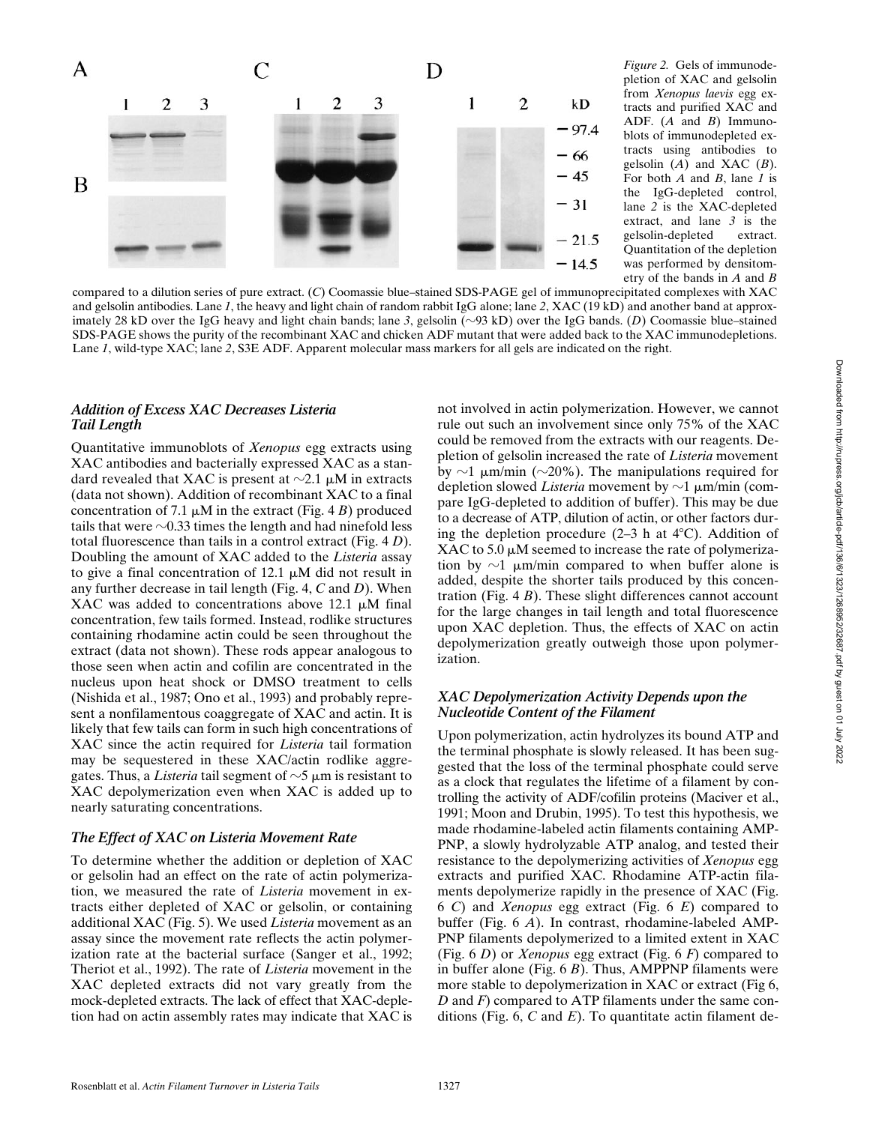

*Figure 2.* Gels of immunodepletion of XAC and gelsolin from *Xenopus laevis* egg extracts and purified XAC and ADF. (*A* and *B*) Immunoblots of immunodepleted extracts using antibodies to gelsolin  $(A)$  and XAC  $(B)$ . For both *A* and *B*, lane *1* is the IgG-depleted control, lane *2* is the XAC-depleted extract, and lane *3* is the gelsolin-depleted extract. Quantitation of the depletion was performed by densitometry of the bands in *A* and *B*

compared to a dilution series of pure extract. (*C*) Coomassie blue–stained SDS-PAGE gel of immunoprecipitated complexes with XAC and gelsolin antibodies. Lane *1*, the heavy and light chain of random rabbit IgG alone; lane *2*, XAC (19 kD) and another band at approximately 28 kD over the IgG heavy and light chain bands; lane 3, gelsolin ( $\sim$ 93 kD) over the IgG bands. (*D*) Coomassie blue–stained SDS-PAGE shows the purity of the recombinant XAC and chicken ADF mutant that were added back to the XAC immunodepletions. Lane *1*, wild-type XAC; lane *2*, S3E ADF. Apparent molecular mass markers for all gels are indicated on the right.

### *Addition of Excess XAC Decreases Listeria Tail Length*

Quantitative immunoblots of *Xenopus* egg extracts using XAC antibodies and bacterially expressed XAC as a standard revealed that XAC is present at  $\sim$ 2.1  $\mu$ M in extracts (data not shown). Addition of recombinant XAC to a final concentration of 7.1  $\mu$ M in the extract (Fig. 4 *B*) produced tails that were  $\sim$  0.33 times the length and had ninefold less total fluorescence than tails in a control extract (Fig. 4 *D*). Doubling the amount of XAC added to the *Listeria* assay to give a final concentration of 12.1  $\mu$ M did not result in any further decrease in tail length (Fig. 4, *C* and *D*). When XAC was added to concentrations above  $12.1 \mu M$  final concentration, few tails formed. Instead, rodlike structures containing rhodamine actin could be seen throughout the extract (data not shown). These rods appear analogous to those seen when actin and cofilin are concentrated in the nucleus upon heat shock or DMSO treatment to cells (Nishida et al., 1987; Ono et al., 1993) and probably represent a nonfilamentous coaggregate of XAC and actin. It is likely that few tails can form in such high concentrations of XAC since the actin required for *Listeria* tail formation may be sequestered in these XAC/actin rodlike aggregates. Thus, a *Listeria* tail segment of  $\sim$ 5  $\mu$ m is resistant to XAC depolymerization even when XAC is added up to nearly saturating concentrations.

### *The Effect of XAC on Listeria Movement Rate*

To determine whether the addition or depletion of XAC or gelsolin had an effect on the rate of actin polymerization, we measured the rate of *Listeria* movement in extracts either depleted of XAC or gelsolin, or containing additional XAC (Fig. 5). We used *Listeria* movement as an assay since the movement rate reflects the actin polymerization rate at the bacterial surface (Sanger et al., 1992; Theriot et al., 1992). The rate of *Listeria* movement in the XAC depleted extracts did not vary greatly from the mock-depleted extracts. The lack of effect that XAC-depletion had on actin assembly rates may indicate that XAC is not involved in actin polymerization. However, we cannot rule out such an involvement since only 75% of the XAC could be removed from the extracts with our reagents. Depletion of gelsolin increased the rate of *Listeria* movement by  $\sim$ 1  $\mu$ m/min ( $\sim$ 20%). The manipulations required for depletion slowed *Listeria* movement by  $\sim$ 1  $\mu$ m/min (compare IgG-depleted to addition of buffer). This may be due to a decrease of ATP, dilution of actin, or other factors during the depletion procedure  $(2-3 h at 4°C)$ . Addition of XAC to 5.0  $\mu$ M seemed to increase the rate of polymerization by  $\sim$ 1 µm/min compared to when buffer alone is added, despite the shorter tails produced by this concentration (Fig. 4 *B*). These slight differences cannot account for the large changes in tail length and total fluorescence upon XAC depletion. Thus, the effects of XAC on actin depolymerization greatly outweigh those upon polymerization.

### *XAC Depolymerization Activity Depends upon the Nucleotide Content of the Filament*

Upon polymerization, actin hydrolyzes its bound ATP and the terminal phosphate is slowly released. It has been suggested that the loss of the terminal phosphate could serve as a clock that regulates the lifetime of a filament by controlling the activity of ADF/cofilin proteins (Maciver et al., 1991; Moon and Drubin, 1995). To test this hypothesis, we made rhodamine-labeled actin filaments containing AMP-PNP, a slowly hydrolyzable ATP analog, and tested their resistance to the depolymerizing activities of *Xenopus* egg extracts and purified XAC. Rhodamine ATP-actin filaments depolymerize rapidly in the presence of XAC (Fig. 6 *C*) and *Xenopus* egg extract (Fig. 6 *E*) compared to buffer (Fig. 6 *A*). In contrast, rhodamine-labeled AMP-PNP filaments depolymerized to a limited extent in XAC (Fig. 6 *D*) or *Xenopus* egg extract (Fig. 6 *F*) compared to in buffer alone (Fig. 6 *B*). Thus, AMPPNP filaments were more stable to depolymerization in XAC or extract (Fig 6, *D* and *F*) compared to ATP filaments under the same conditions (Fig. 6, *C* and *E*). To quantitate actin filament de-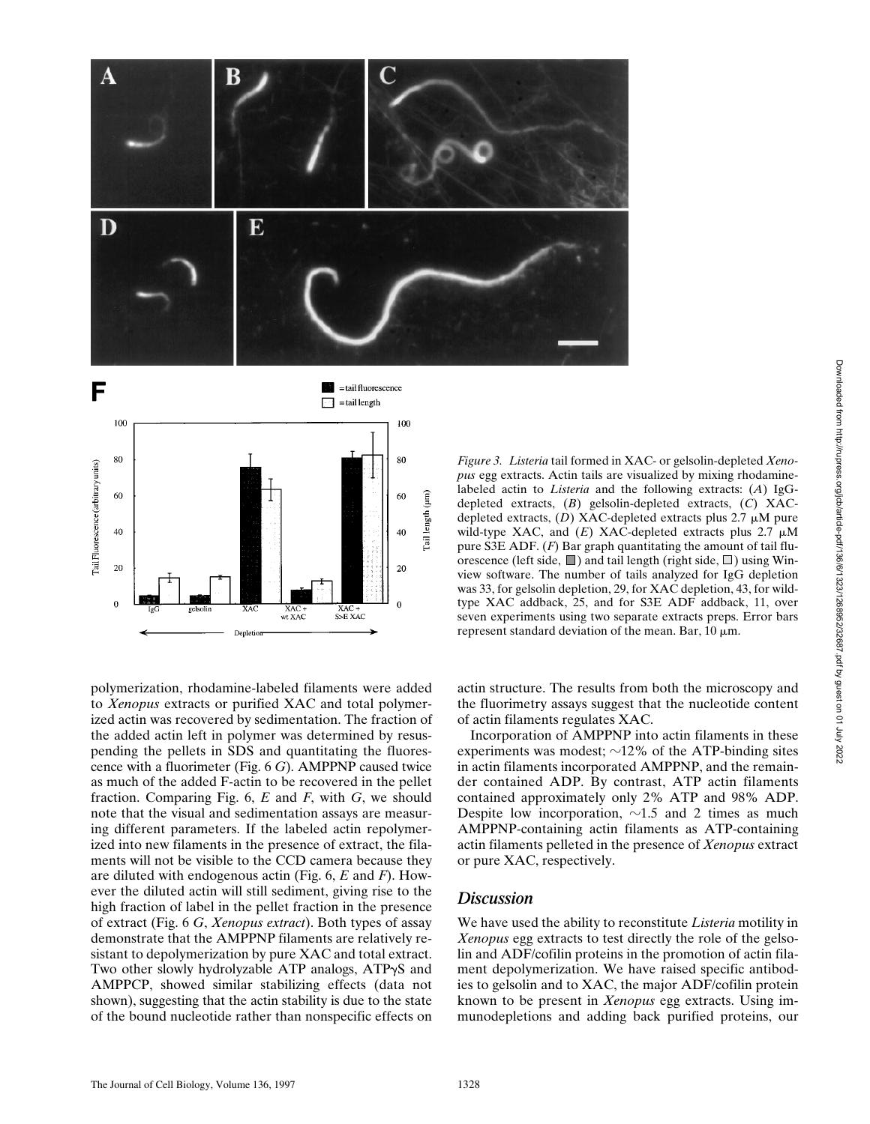



polymerization, rhodamine-labeled filaments were added to *Xenopus* extracts or purified XAC and total polymerized actin was recovered by sedimentation. The fraction of the added actin left in polymer was determined by resuspending the pellets in SDS and quantitating the fluorescence with a fluorimeter (Fig. 6 *G*). AMPPNP caused twice as much of the added F-actin to be recovered in the pellet fraction. Comparing Fig. 6, *E* and *F*, with *G*, we should note that the visual and sedimentation assays are measuring different parameters. If the labeled actin repolymerized into new filaments in the presence of extract, the filaments will not be visible to the CCD camera because they are diluted with endogenous actin (Fig. 6, *E* and *F*). However the diluted actin will still sediment, giving rise to the high fraction of label in the pellet fraction in the presence of extract (Fig. 6 *G*, *Xenopus extract*). Both types of assay demonstrate that the AMPPNP filaments are relatively resistant to depolymerization by pure XAC and total extract. Two other slowly hydrolyzable ATP analogs,  $ATP\gamma S$  and AMPPCP, showed similar stabilizing effects (data not shown), suggesting that the actin stability is due to the state of the bound nucleotide rather than nonspecific effects on

*Figure 3. Listeria* tail formed in XAC- or gelsolin-depleted *Xenopus* egg extracts. Actin tails are visualized by mixing rhodaminelabeled actin to *Listeria* and the following extracts: (*A*) IgGdepleted extracts, (*B*) gelsolin-depleted extracts, (*C*) XACdepleted extracts,  $(D)$  XAC-depleted extracts plus 2.7  $\mu$ M pure wild-type XAC, and  $(E)$  XAC-depleted extracts plus 2.7  $\mu$ M pure S3E ADF. (*F*) Bar graph quantitating the amount of tail fluorescence (left side,  $\blacksquare$ ) and tail length (right side,  $\blacksquare$ ) using Winview software. The number of tails analyzed for IgG depletion was 33, for gelsolin depletion, 29, for XAC depletion, 43, for wildtype XAC addback, 25, and for S3E ADF addback, 11, over seven experiments using two separate extracts preps. Error bars represent standard deviation of the mean. Bar,  $10 \mu m$ .

actin structure. The results from both the microscopy and the fluorimetry assays suggest that the nucleotide content of actin filaments regulates XAC.

Incorporation of AMPPNP into actin filaments in these experiments was modest;  $\sim$ 12% of the ATP-binding sites in actin filaments incorporated AMPPNP, and the remainder contained ADP. By contrast, ATP actin filaments contained approximately only 2% ATP and 98% ADP. Despite low incorporation,  $\sim$ 1.5 and 2 times as much AMPPNP-containing actin filaments as ATP-containing actin filaments pelleted in the presence of *Xenopus* extract or pure XAC, respectively.

### *Discussion*

We have used the ability to reconstitute *Listeria* motility in *Xenopus* egg extracts to test directly the role of the gelsolin and ADF/cofilin proteins in the promotion of actin filament depolymerization. We have raised specific antibodies to gelsolin and to XAC, the major ADF/cofilin protein known to be present in *Xenopus* egg extracts. Using immunodepletions and adding back purified proteins, our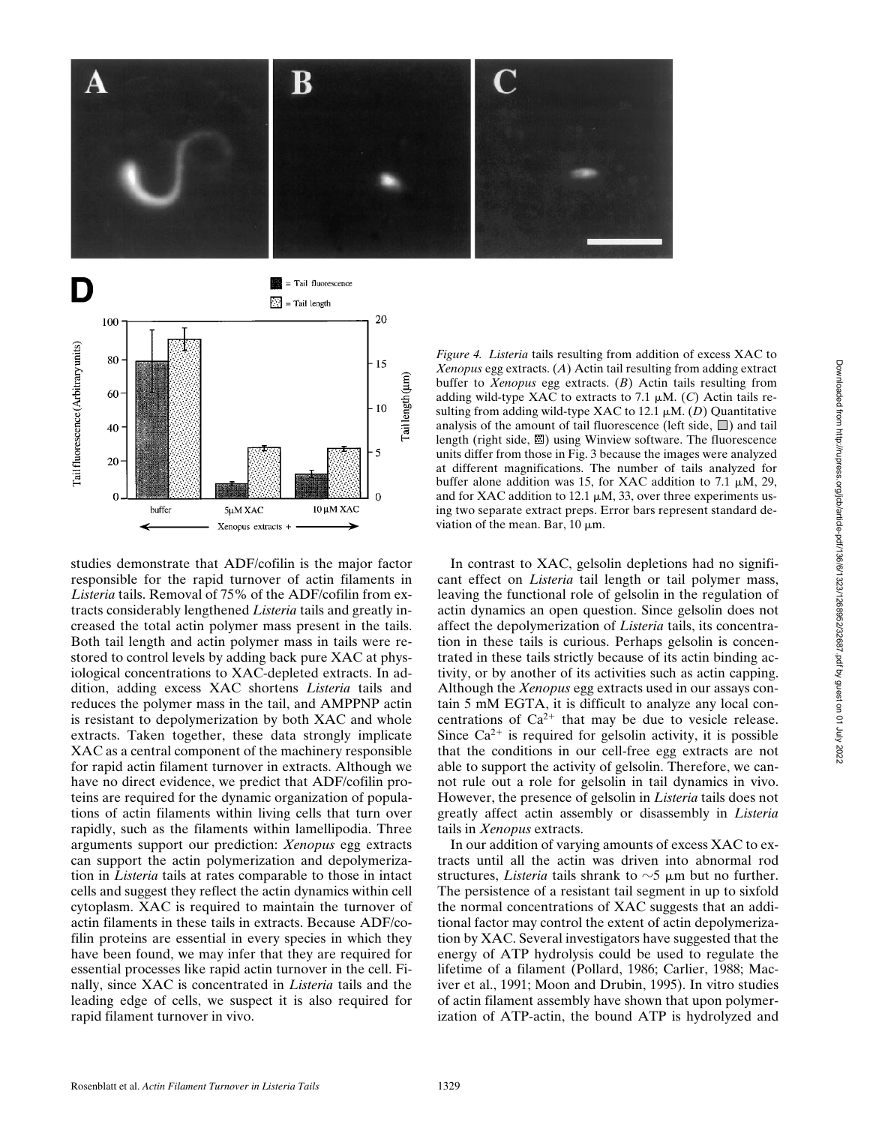



studies demonstrate that ADF/cofilin is the major factor responsible for the rapid turnover of actin filaments in *Listeria* tails. Removal of 75% of the ADF/cofilin from extracts considerably lengthened *Listeria* tails and greatly increased the total actin polymer mass present in the tails. Both tail length and actin polymer mass in tails were restored to control levels by adding back pure XAC at physiological concentrations to XAC-depleted extracts. In addition, adding excess XAC shortens *Listeria* tails and reduces the polymer mass in the tail, and AMPPNP actin is resistant to depolymerization by both XAC and whole extracts. Taken together, these data strongly implicate XAC as a central component of the machinery responsible for rapid actin filament turnover in extracts. Although we have no direct evidence, we predict that ADF/cofilin proteins are required for the dynamic organization of populations of actin filaments within living cells that turn over rapidly, such as the filaments within lamellipodia. Three arguments support our prediction: *Xenopus* egg extracts can support the actin polymerization and depolymerization in *Listeria* tails at rates comparable to those in intact cells and suggest they reflect the actin dynamics within cell cytoplasm. XAC is required to maintain the turnover of actin filaments in these tails in extracts. Because ADF/cofilin proteins are essential in every species in which they have been found, we may infer that they are required for essential processes like rapid actin turnover in the cell. Finally, since XAC is concentrated in *Listeria* tails and the leading edge of cells, we suspect it is also required for rapid filament turnover in vivo.

*Figure 4. Listeria* tails resulting from addition of excess XAC to *Xenopus* egg extracts. (*A*) Actin tail resulting from adding extract buffer to *Xenopus* egg extracts. (*B*) Actin tails resulting from adding wild-type XAC to extracts to 7.1  $\mu$ M. (*C*) Actin tails resulting from adding wild-type XAC to 12.1  $\mu$ M. (*D*) Quantitative analysis of the amount of tail fluorescence (left side,  $\Box$ ) and tail length (right side,  $\Xi$ ) using Winview software. The fluorescence units differ from those in Fig. 3 because the images were analyzed at different magnifications. The number of tails analyzed for buffer alone addition was 15, for XAC addition to 7.1  $\mu$ M, 29, and for XAC addition to 12.1  $\mu$ M, 33, over three experiments using two separate extract preps. Error bars represent standard deviation of the mean. Bar,  $10 \mu m$ .

In contrast to XAC, gelsolin depletions had no significant effect on *Listeria* tail length or tail polymer mass, leaving the functional role of gelsolin in the regulation of actin dynamics an open question. Since gelsolin does not affect the depolymerization of *Listeria* tails, its concentration in these tails is curious. Perhaps gelsolin is concentrated in these tails strictly because of its actin binding activity, or by another of its activities such as actin capping. Although the *Xenopus* egg extracts used in our assays contain 5 mM EGTA, it is difficult to analyze any local concentrations of  $Ca^{2+}$  that may be due to vesicle release. Since  $Ca^{2+}$  is required for gelsolin activity, it is possible that the conditions in our cell-free egg extracts are not able to support the activity of gelsolin. Therefore, we cannot rule out a role for gelsolin in tail dynamics in vivo. However, the presence of gelsolin in *Listeria* tails does not greatly affect actin assembly or disassembly in *Listeria* tails in *Xenopus* extracts.

In our addition of varying amounts of excess XAC to extracts until all the actin was driven into abnormal rod structures, *Listeria* tails shrank to  $\sim$ 5  $\mu$ m but no further. The persistence of a resistant tail segment in up to sixfold the normal concentrations of XAC suggests that an additional factor may control the extent of actin depolymerization by XAC. Several investigators have suggested that the energy of ATP hydrolysis could be used to regulate the lifetime of a filament (Pollard, 1986; Carlier, 1988; Maciver et al., 1991; Moon and Drubin, 1995). In vitro studies of actin filament assembly have shown that upon polymerization of ATP-actin, the bound ATP is hydrolyzed and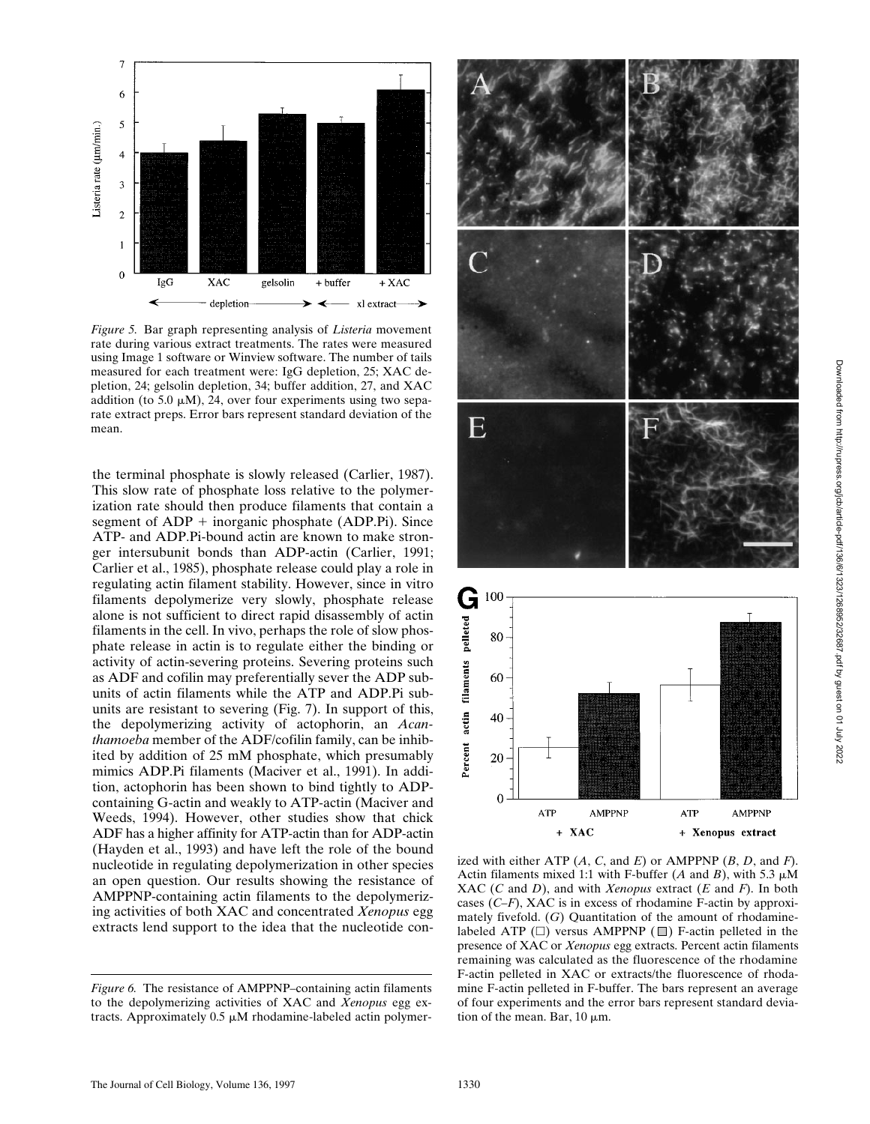

*Figure 5.* Bar graph representing analysis of *Listeria* movement rate during various extract treatments. The rates were measured using Image 1 software or Winview software. The number of tails measured for each treatment were: IgG depletion, 25; XAC depletion, 24; gelsolin depletion, 34; buffer addition, 27, and XAC addition (to 5.0  $\mu$ M), 24, over four experiments using two separate extract preps. Error bars represent standard deviation of the mean.

the terminal phosphate is slowly released (Carlier, 1987). This slow rate of phosphate loss relative to the polymerization rate should then produce filaments that contain a segment of  $ADP + inorganic phosphate (ADP.Pi)$ . Since ATP- and ADP.Pi-bound actin are known to make stronger intersubunit bonds than ADP-actin (Carlier, 1991; Carlier et al., 1985), phosphate release could play a role in regulating actin filament stability. However, since in vitro filaments depolymerize very slowly, phosphate release alone is not sufficient to direct rapid disassembly of actin filaments in the cell. In vivo, perhaps the role of slow phosphate release in actin is to regulate either the binding or activity of actin-severing proteins. Severing proteins such as ADF and cofilin may preferentially sever the ADP subunits of actin filaments while the ATP and ADP.Pi subunits are resistant to severing (Fig. 7). In support of this, the depolymerizing activity of actophorin, an *Acanthamoeba* member of the ADF/cofilin family, can be inhibited by addition of 25 mM phosphate, which presumably mimics ADP.Pi filaments (Maciver et al., 1991). In addition, actophorin has been shown to bind tightly to ADPcontaining G-actin and weakly to ATP-actin (Maciver and Weeds, 1994). However, other studies show that chick ADF has a higher affinity for ATP-actin than for ADP-actin (Hayden et al., 1993) and have left the role of the bound nucleotide in regulating depolymerization in other species an open question. Our results showing the resistance of AMPPNP-containing actin filaments to the depolymerizing activities of both XAC and concentrated *Xenopus* egg extracts lend support to the idea that the nucleotide con-



ized with either ATP  $(A, C, \text{ and } E)$  or AMPPNP  $(B, D, \text{ and } F)$ . Actin filaments mixed 1:1 with F-buffer ( $A$  and  $B$ ), with 5.3  $\mu$ M XAC (*C* and *D*), and with *Xenopus* extract (*E* and *F*). In both cases (*C–F*), XAC is in excess of rhodamine F-actin by approximately fivefold. (*G*) Quantitation of the amount of rhodaminelabeled ATP  $(\square)$  versus AMPPNP  $(\square)$  F-actin pelleted in the presence of XAC or *Xenopus* egg extracts. Percent actin filaments remaining was calculated as the fluorescence of the rhodamine F-actin pelleted in XAC or extracts/the fluorescence of rhodamine F-actin pelleted in F-buffer. The bars represent an average of four experiments and the error bars represent standard deviation of the mean. Bar,  $10 \mu m$ .

*Figure 6.* The resistance of AMPPNP–containing actin filaments to the depolymerizing activities of XAC and *Xenopus* egg extracts. Approximately  $0.5 \mu M$  rhodamine-labeled actin polymer-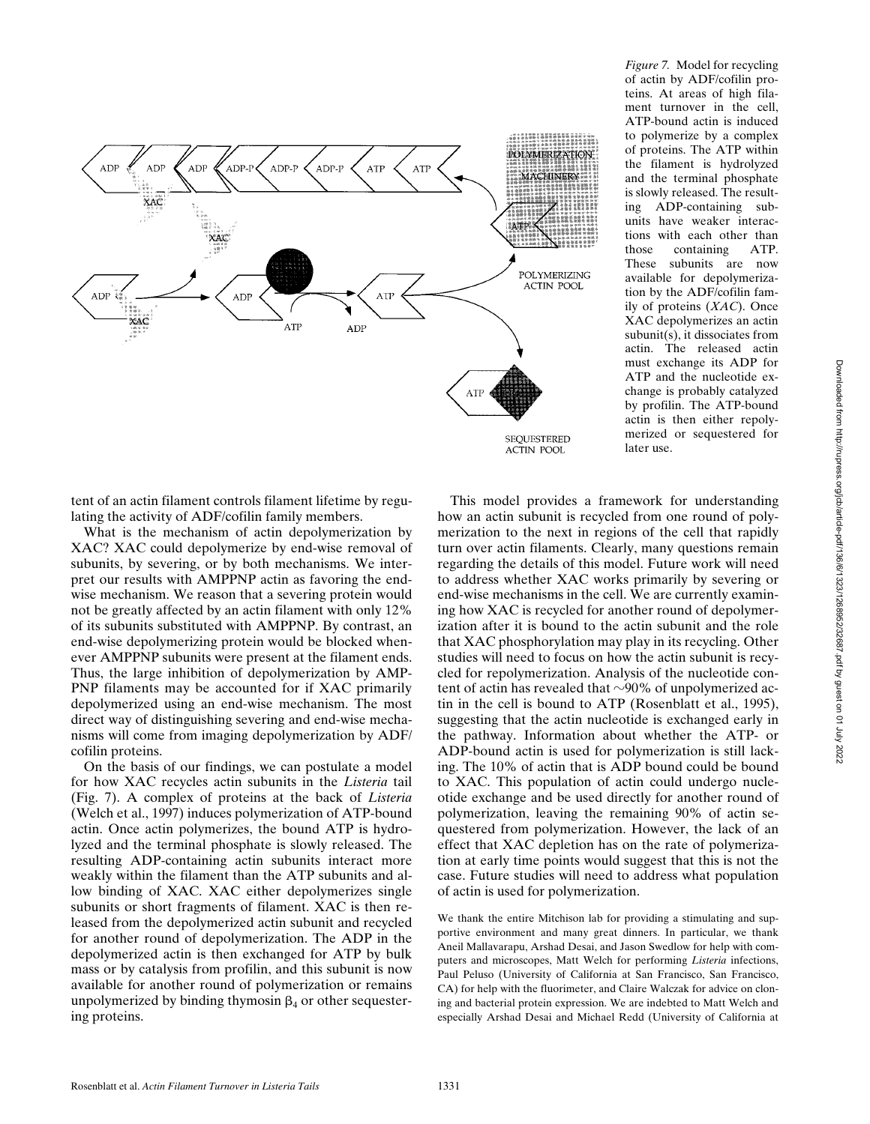

*Figure 7.* Model for recycling of actin by ADF/cofilin proteins. At areas of high filament turnover in the cell, ATP-bound actin is induced to polymerize by a complex of proteins. The ATP within the filament is hydrolyzed and the terminal phosphate is slowly released. The resulting ADP-containing subunits have weaker interactions with each other than those containing ATP. These subunits are now available for depolymerization by the ADF/cofilin family of proteins (*XAC*). Once XAC depolymerizes an actin subunit(s), it dissociates from actin. The released actin must exchange its ADP for ATP and the nucleotide exchange is probably catalyzed by profilin. The ATP-bound actin is then either repolymerized or sequestered for later use.

tent of an actin filament controls filament lifetime by regulating the activity of ADF/cofilin family members.

What is the mechanism of actin depolymerization by XAC? XAC could depolymerize by end-wise removal of subunits, by severing, or by both mechanisms. We interpret our results with AMPPNP actin as favoring the endwise mechanism. We reason that a severing protein would not be greatly affected by an actin filament with only 12% of its subunits substituted with AMPPNP. By contrast, an end-wise depolymerizing protein would be blocked whenever AMPPNP subunits were present at the filament ends. Thus, the large inhibition of depolymerization by AMP-PNP filaments may be accounted for if XAC primarily depolymerized using an end-wise mechanism. The most direct way of distinguishing severing and end-wise mechanisms will come from imaging depolymerization by ADF/ cofilin proteins.

On the basis of our findings, we can postulate a model for how XAC recycles actin subunits in the *Listeria* tail (Fig. 7). A complex of proteins at the back of *Listeria* (Welch et al., 1997) induces polymerization of ATP-bound actin. Once actin polymerizes, the bound ATP is hydrolyzed and the terminal phosphate is slowly released. The resulting ADP-containing actin subunits interact more weakly within the filament than the ATP subunits and allow binding of XAC. XAC either depolymerizes single subunits or short fragments of filament. XAC is then released from the depolymerized actin subunit and recycled for another round of depolymerization. The ADP in the depolymerized actin is then exchanged for ATP by bulk mass or by catalysis from profilin, and this subunit is now available for another round of polymerization or remains unpolymerized by binding thymosin  $\beta_4$  or other sequestering proteins.

This model provides a framework for understanding how an actin subunit is recycled from one round of polymerization to the next in regions of the cell that rapidly turn over actin filaments. Clearly, many questions remain regarding the details of this model. Future work will need to address whether XAC works primarily by severing or end-wise mechanisms in the cell. We are currently examining how XAC is recycled for another round of depolymerization after it is bound to the actin subunit and the role that XAC phosphorylation may play in its recycling. Other studies will need to focus on how the actin subunit is recycled for repolymerization. Analysis of the nucleotide content of actin has revealed that  $\sim$ 90% of unpolymerized actin in the cell is bound to ATP (Rosenblatt et al., 1995), suggesting that the actin nucleotide is exchanged early in the pathway. Information about whether the ATP- or ADP-bound actin is used for polymerization is still lacking. The 10% of actin that is ADP bound could be bound to XAC. This population of actin could undergo nucleotide exchange and be used directly for another round of polymerization, leaving the remaining 90% of actin sequestered from polymerization. However, the lack of an effect that XAC depletion has on the rate of polymerization at early time points would suggest that this is not the case. Future studies will need to address what population of actin is used for polymerization.

We thank the entire Mitchison lab for providing a stimulating and supportive environment and many great dinners. In particular, we thank Aneil Mallavarapu, Arshad Desai, and Jason Swedlow for help with computers and microscopes, Matt Welch for performing *Listeria* infections, Paul Peluso (University of California at San Francisco, San Francisco, CA) for help with the fluorimeter, and Claire Walczak for advice on cloning and bacterial protein expression. We are indebted to Matt Welch and especially Arshad Desai and Michael Redd (University of California at